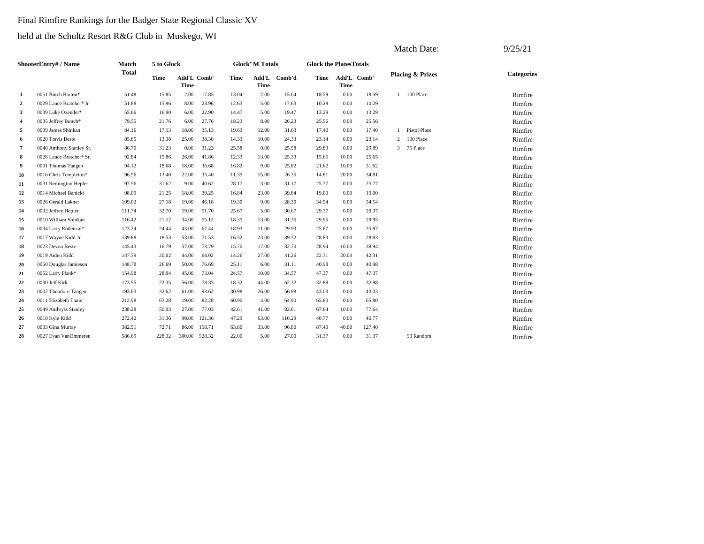# Final Rimfire Rankings for the Badger State Regional Classic XV

|                  |                          |              |            |                            |        |       |                       |        |                               |                     |        |                | Match Date:                 | 9/25/21           |
|------------------|--------------------------|--------------|------------|----------------------------|--------|-------|-----------------------|--------|-------------------------------|---------------------|--------|----------------|-----------------------------|-------------------|
|                  | ShooterEntry# / Name     | Match        | 5 to Glock |                            |        |       | <b>Glock"M Totals</b> |        | <b>Glock the PlatesTotals</b> |                     |        |                |                             |                   |
|                  |                          | <b>Total</b> | Time       | <b>Add'L Comb'</b><br>Time |        | Time  | Add'L<br>Time         | Comb'd | Time                          | Add'L Comb'<br>Time |        |                | <b>Placing &amp; Prizes</b> | <b>Categories</b> |
| 1                | 0051 Butch Barton*       | 51.48        | 15.85      | 2.00                       | 17.85  | 13.04 | 2.00                  | 15.04  | 18.59                         | 0.00                | 18.59  |                | 100 Place                   | Rimfire           |
| $\boldsymbol{2}$ | 0029 Lance Bratcher* Jr  | 51.88        | 15.96      | 8.00                       | 23.96  | 12.63 | 5.00                  | 17.63  | 10.29                         | 0.00                | 10.29  |                |                             | Rimfire           |
| 3                | 0039 Luke Oxender*       | 55.66        | 16.90      | 6.00                       | 22.90  | 14.47 | 5.00                  | 19.47  | 13.29                         | 0.00                | 13.29  |                |                             | Rimfire           |
| $\overline{4}$   | 0035 Jeffrey Bunch*      | 79.55        | 21.76      | 6.00                       | 27.76  | 18.23 | 8.00                  | 26.23  | 25.56                         | 0.00                | 25.56  |                |                             | Rimfire           |
| 5                | 0009 James Shinkan       | 84.16        | 17.13      | 18.00                      | 35.13  | 19.63 | 12.00                 | 31.63  | 17.40                         | 0.00                | 17.40  |                | <b>Pistol Place</b>         | Rimfire           |
| 6                | 0020 Travis Beste        | 85.85        | 13.38      | 25.00                      | 38.38  | 14.33 | 10.00                 | 24.33  | 23.14                         | 0.00                | 23.14  | $\overline{2}$ | 100 Place                   | Rimfire           |
| $\overline{7}$   | 0048 Anthony Stanley Sr. | 86.70        | 31.23      | 0.00                       | 31.23  | 25.58 | 0.00                  | 25.58  | 29.89                         | 0.00                | 29.89  | $\mathbf{3}$   | 75 Place                    | Rimfire           |
| 8                | 0028 Lance Bratcher* Sr. | 92.84        | 15.86      | 26.00                      | 41.86  | 12.33 | 13.00                 | 25.33  | 15.65                         | 10.00               | 25.65  |                |                             | Rimfire           |
| 9                | 0001 Thomas Tangen       | 94.12        | 18.68      | 18.00                      | 36.68  | 16.82 | 9.00                  | 25.82  | 21.62                         | 10.00               | 31.62  |                |                             | Rimfire           |
| 10               | 0016 Chris Templeton*    | 96.56        | 13.40      | 22.00                      | 35.40  | 11.35 | 15.00                 | 26.35  | 14.81                         | 20.00               | 34.81  |                |                             | Rimfire           |
| 11               | 0031 Remington Hepler    | 97.56        | 31.62      | 9.00                       | 40.62  | 28.17 | 3.00                  | 31.17  | 25.77                         | 0.00                | 25.77  |                |                             | Rimfire           |
| 12               | 0014 Michael Banicki     | 98.09        | 21.25      | 18.00                      | 39.25  | 16.84 | 23.00                 | 39.84  | 19.00                         | 0.00                | 19.00  |                |                             | Rimfire           |
| 13               | 0026 Gerald Lakner       | 109.02       | 27.18      | 19.00                      | 46.18  | 19.30 | 9.00                  | 28.30  | 34.54                         | 0.00                | 34.54  |                |                             | Rimfire           |
| 14               | 0032 Jeffrey Hepler      | 111.74       | 32.70      | 19.00                      | 51.70  | 25.67 | 5.00                  | 30.67  | 29.37                         | 0.00                | 29.37  |                |                             | Rimfire           |
| 15               | 0010 William Shinkan     | 116.42       | 21.12      | 34.00                      | 55.12  | 18.35 | 13.00                 | 31.35  | 29.95                         | 0.00                | 29.95  |                |                             | Rimfire           |
| 16               | 0034 Larry Rodencal*     | 123.24       | 24.44      | 43.00                      | 67.44  | 18.93 | 11.00                 | 29.93  | 25.87                         | 0.00                | 25.87  |                |                             | Rimfire           |
| 17               | 0017 Wayne Kidd Jr.      | 139.88       | 18.53      | 53.00                      | 71.53  | 16.52 | 23.00                 | 39.52  | 28.83                         | 0.00                | 28.83  |                |                             | Rimfire           |
| 18               | 0023 Devon Beste         | 145.43       | 16.79      | 57.00                      | 73.79  | 15.70 | 17.00                 | 32.70  | 28.94                         | 10.00               | 38.94  |                |                             | Rimfire           |
| 19               | 0019 Aiden Kidd          | 147.59       | 20.02      | 44.00                      | 64.02  | 14.26 | 27.00                 | 41.26  | 22.31                         | 20.00               | 42.31  |                |                             | Rimfire           |
| 20               | 0050 Douglas Jamieson    | 148.78       | 26.69      | 50.00                      | 76.69  | 25.11 | 6.00                  | 31.11  | 40.98                         | 0.00                | 40.98  |                |                             | Rimfire           |
| 21               | 0052 Larry Plank*        | 154.98       | 28.04      | 45.00                      | 73.04  | 24.57 | 10.00                 | 34.57  | 47.37                         | 0.00                | 47.37  |                |                             | Rimfire           |
| 22               | 0030 Jeff Kirk           | 173.55       | 22.35      | 56.00                      | 78.35  | 18.32 | 44.00                 | 62.32  | 32.88                         | 0.00                | 32.88  |                |                             | Rimfire           |
| 23               | 0002 Theodore Tangen     | 193.63       | 32.62      | 61.00                      | 93.62  | 30.98 | 26.00                 | 56.98  | 43.03                         | 0.00                | 43.03  |                |                             | Rimfire           |
| 24               | 0011 Elizabeth Tanis     | 212.98       | 63.28      | 19.00                      | 82.28  | 60.90 | 4.00                  | 64.90  | 65.80                         | 0.00                | 65.80  |                |                             | Rimfire           |
| 25               | 0049 Anthryss Stanley    | 238.28       | 50.03      | 27.00                      | 77.03  | 42.61 | 41.00                 | 83.61  | 67.64                         | 10.00               | 77.64  |                |                             | Rimfire           |
| 26               | 0018 Kyle Kidd           | 272.42       | 31.36      | 90.00                      | 121.36 | 47.29 | 63.00                 | 110.29 | 40.77                         | 0.00                | 40.77  |                |                             | Rimfire           |
| 27               | 0033 Gina Murray         | 382.91       | 72.71      | 86.00                      | 158.71 | 63.80 | 33.00                 | 96.80  | 87.40                         | 40.00               | 127.40 |                |                             | Rimfire           |
| 28               | 0027 Evan VanOmmeren     | 586.69       | 228.32     | 300.00                     | 528.32 | 22.00 | 5.00                  | 27.00  | 31.37                         | 0.00                | 31.37  |                | 50 Random                   | Rimfire           |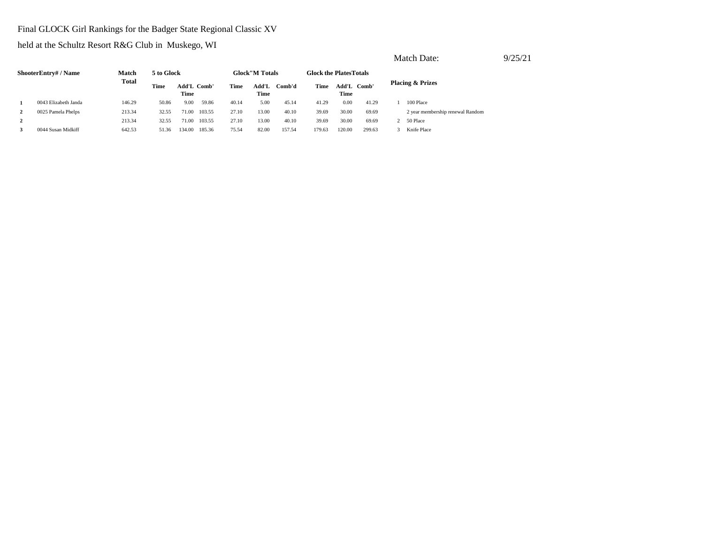# Final GLOCK Girl Rankings for the Badger State Regional Classic XV

|                |                      |        |            |                     |        |       |                        |        |                                |               |        | Match Date:                      | 9/25/21 |
|----------------|----------------------|--------|------------|---------------------|--------|-------|------------------------|--------|--------------------------------|---------------|--------|----------------------------------|---------|
|                | ShooterEntry# / Name | Match  | 5 to Glock |                     |        |       | <b>Glock</b> "M Totals |        | <b>Glock the Plates Totals</b> |               |        |                                  |         |
|                |                      | Total  | Time       | Add'L Comb'<br>Time |        | Time  | Add'L<br>Time          | Comb'd | Time                           | Add'L<br>Time | Comb'  | <b>Placing &amp; Prizes</b>      |         |
|                | 0043 Elizabeth Janda | 146.29 | 50.86      | 9.00                | 59.86  | 40.14 | 5.00                   | 45.14  | 41.29                          | 0.00          | 41.29  | 100 Place                        |         |
| $\mathbf{2}$   | 0025 Pamela Phelps   | 213.34 | 32.55      | 71.00               | 103.55 | 27.10 | 13.00                  | 40.10  | 39.69                          | 30.00         | 69.69  | 2 year membership renewal Random |         |
| $\overline{2}$ |                      | 213.34 | 32.55      | 71.00               | 103.55 | 27.10 | 13.00                  | 40.10  | 39.69                          | 30.00         | 69.69  | 50 Place                         |         |
| 3              | 0044 Susan Midkiff   | 642.53 | 51.36      | 134.00              | 185.36 | 75.54 | 82.00                  | 157.54 | 179.63                         | 120.00        | 299.63 | Knife Place                      |         |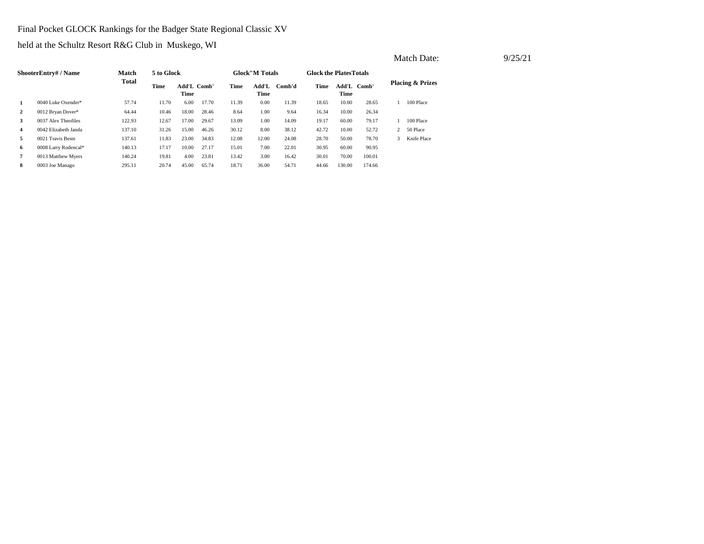Final Pocket GLOCK Rankings for the Badger State Regional Classic XV

|                |                      |        |            |                     |       |       |                       |        |                                |                     |        |                | Match Date:                 |  | 9/25/21 |
|----------------|----------------------|--------|------------|---------------------|-------|-------|-----------------------|--------|--------------------------------|---------------------|--------|----------------|-----------------------------|--|---------|
|                | ShooterEntry#/Name   | Match  | 5 to Glock |                     |       |       | <b>Glock"M Totals</b> |        | <b>Glock the Plates Totals</b> |                     |        |                |                             |  |         |
|                |                      | Total  | Time       | Add'L Comb'<br>Time |       | Time  | Add'L<br>Time         | Comb'd | Time                           | Add'L Comb'<br>Time |        |                | <b>Placing &amp; Prizes</b> |  |         |
| 1              | 0040 Luke Oxender*   | 57.74  | 11.70      | 6.00                | 17.70 | 11.39 | 0.00                  | 11.39  | 18.65                          | 10.00               | 28.65  |                | 100 Place                   |  |         |
| $\mathbf{2}$   | 0012 Bryan Dover*    | 64.44  | 10.46      | 18.00               | 28.46 | 8.64  | 1.00                  | 9.64   | 16.34                          | 10.00               | 26.34  |                |                             |  |         |
| 3              | 0037 Alex Theofiles  | 122.93 | 12.67      | 17.00               | 29.67 | 13.09 | 1.00                  | 14.09  | 19.17                          | 60.00               | 79.17  |                | 100 Place                   |  |         |
| $\overline{4}$ | 0042 Elizabeth Janda | 137.10 | 31.26      | 15.00               | 46.26 | 30.12 | 8.00                  | 38.12  | 42.72                          | 10.00               | 52.72  | $\overline{2}$ | 50 Place                    |  |         |
| 5              | 0021 Travis Beste    | 137.61 | 11.83      | 23.00               | 34.83 | 12.08 | 12.00                 | 24.08  | 28.70                          | 50.00               | 78.70  | 3              | Knife Place                 |  |         |
| 6.             | 0008 Larry Rodencal* | 140.13 | 17.17      | 10.00               | 27.17 | 15.01 | 7.00                  | 22.01  | 30.95                          | 60.00               | 90.95  |                |                             |  |         |
| $\overline{7}$ | 0013 Matthew Myers   | 140.24 | 19.81      | 4.00                | 23.81 | 13.42 | 3.00                  | 16.42  | 30.01                          | 70.00               | 100.01 |                |                             |  |         |
| 8              | 0003 Joe Manago      | 295.11 | 20.74      | 45.00               | 65.74 | 18.71 | 36.00                 | 54.71  | 44.66                          | 130.00              | 174.66 |                |                             |  |         |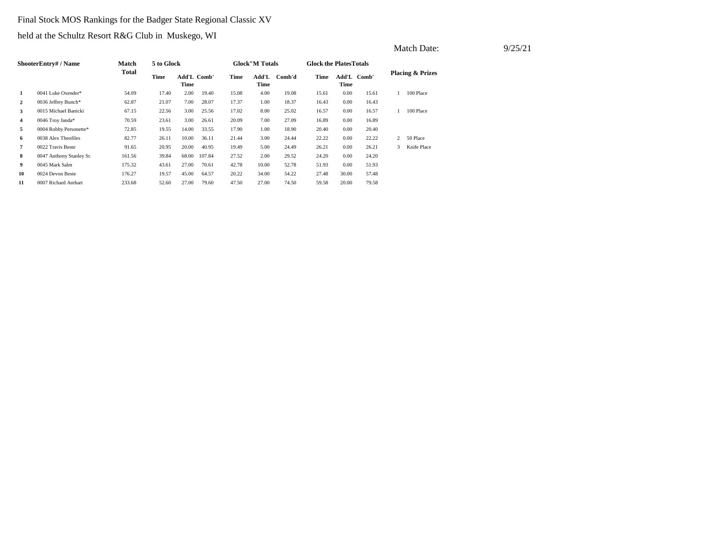# Final Stock MOS Rankings for the Badger State Regional Classic XV

held at the Schultz Resort R&G Club in Muskego, WI

|                | <b>ShooterEntry# / Name</b> | Match        | 5 to Glock |                            |        |       | <b>Glock</b> "M Totals |        | <b>Glock the Plates Totals</b> |                     |       |                |                             |
|----------------|-----------------------------|--------------|------------|----------------------------|--------|-------|------------------------|--------|--------------------------------|---------------------|-------|----------------|-----------------------------|
|                |                             | <b>Total</b> | Time       | <b>Add'L Comb'</b><br>Time |        | Time  | Add'L<br>Time          | Comb'd | Time                           | Add'L Comb'<br>Time |       |                | <b>Placing &amp; Prizes</b> |
| 1              | 0041 Luke Oxender*          | 54.09        | 17.40      | 2.00                       | 19.40  | 15.08 | 4.00                   | 19.08  | 15.61                          | 0.00                | 15.61 |                | 100 Place                   |
| $\overline{2}$ | 0036 Jeffrey Bunch*         | 62.87        | 21.07      | 7.00                       | 28.07  | 17.37 | 1.00                   | 18.37  | 16.43                          | 0.00                | 16.43 |                |                             |
| 3              | 0015 Michael Banicki        | 67.15        | 22.56      | 3.00                       | 25.56  | 17.02 | 8.00                   | 25.02  | 16.57                          | 0.00                | 16.57 |                | 100 Place                   |
| 4              | 0046 Troy Janda*            | 70.59        | 23.61      | 3.00                       | 26.61  | 20.09 | 7.00                   | 27.09  | 16.89                          | 0.00                | 16.89 |                |                             |
| 5              | 0004 Robby Personette*      | 72.85        | 19.55      | 14.00                      | 33.55  | 17.90 | 1.00                   | 18.90  | 20.40                          | 0.00                | 20.40 |                |                             |
| 6              | 0038 Alex Theofiles         | 82.77        | 26.11      | 10.00                      | 36.11  | 21.44 | 3.00                   | 24.44  | 22.22                          | 0.00                | 22.22 | $\overline{c}$ | 50 Place                    |
| 7              | 0022 Travis Beste           | 91.65        | 20.95      | 20.00                      | 40.95  | 19.49 | 5.00                   | 24.49  | 26.21                          | 0.00                | 26.21 | 3              | Knife Place                 |
| 8              | 0047 Anthony Stanley Sr.    | 161.56       | 39.84      | 68.00                      | 107.84 | 27.52 | 2.00                   | 29.52  | 24.20                          | 0.00                | 24.20 |                |                             |
| 9              | 0045 Mark Salm              | 175.32       | 43.61      | 27.00                      | 70.61  | 42.78 | 10.00                  | 52.78  | 51.93                          | 0.00                | 51.93 |                |                             |
| 10             | 0024 Devon Beste            | 176.27       | 19.57      | 45.00                      | 64.57  | 20.22 | 34.00                  | 54.22  | 27.48                          | 30.00               | 57.48 |                |                             |
| 11             | 0007 Richard Arehart        | 233.68       | 52.60      | 27.00                      | 79.60  | 47.50 | 27.00                  | 74.50  | 59.58                          | 20.00               | 79.58 |                |                             |

Match Date: 9/25/21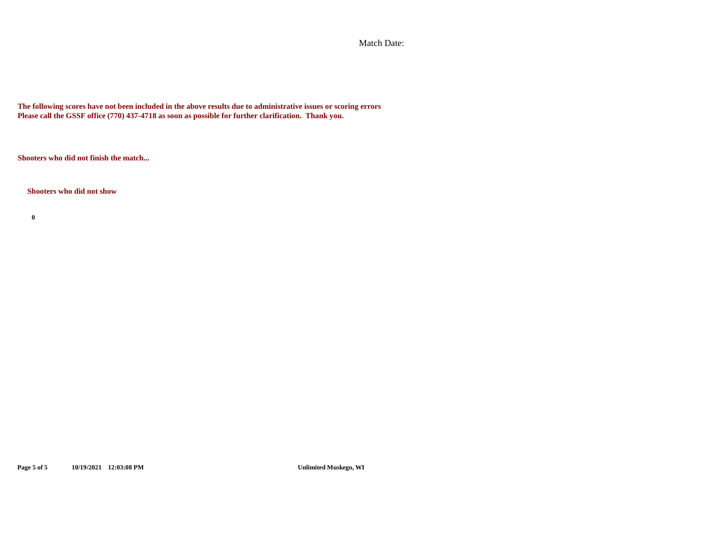Match Date:

**The following scores have not been included in the above results due to administrative issues or scoring errors Please call the GSSF office (770) 437-4718 as soon as possible for further clarification. Thank you.**

**Shooters who did not finish the match...**

**Shooters who did not show**

**0**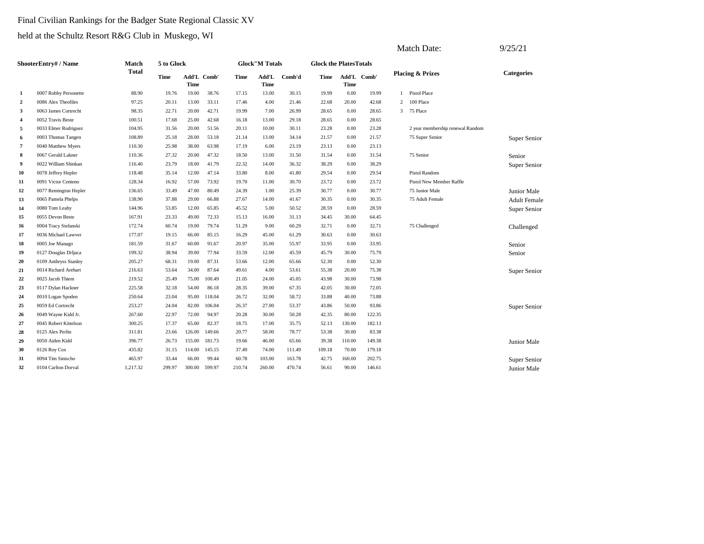### Final Civilian Rankings for the Badger State Regional Classic XV

|                |                       |              |            |                            |        |        |                        |        |                               |                     |        |                | Match Date:                      | 9/25/21             |
|----------------|-----------------------|--------------|------------|----------------------------|--------|--------|------------------------|--------|-------------------------------|---------------------|--------|----------------|----------------------------------|---------------------|
|                | ShooterEntry# / Name  | Match        | 5 to Glock |                            |        |        | <b>Glock</b> "M Totals |        | <b>Glock the PlatesTotals</b> |                     |        |                |                                  |                     |
|                |                       | <b>Total</b> | Time       | Add'L Comb'<br><b>Time</b> |        | Time   | Add'L<br><b>Time</b>   | Comb'd | Time                          | Add'L Comb'<br>Time |        |                | <b>Placing &amp; Prizes</b>      | <b>Categories</b>   |
| 1              | 0007 Robby Personette | 88.90        | 19.76      | 19.00                      | 38.76  | 17.15  | 13.00                  | 30.15  | 19.99                         | 0.00                | 19.99  |                | 1 Pistol Place                   |                     |
| $\overline{2}$ | 0086 Alex Theofiles   | 97.25        | 20.11      | 13.00                      | 33.11  | 17.46  | 4.00                   | 21.46  | 22.68                         | 20.00               | 42.68  | $\overline{2}$ | 100 Place                        |                     |
| $\mathbf{3}$   | 0063 James Cortrecht  | 98.35        | 22.71      | 20.00                      | 42.71  | 19.99  | 7.00                   | 26.99  | 28.65                         | 0.00                | 28.65  | 3              | 75 Place                         |                     |
| $\overline{4}$ | 0052 Travis Beste     | 100.51       | 17.68      | 25.00                      | 42.68  | 16.18  | 13.00                  | 29.18  | 28.65                         | 0.00                | 28.65  |                |                                  |                     |
| -5             | 0033 Elmer Rodriguez  | 104.95       | 31.56      | 20.00                      | 51.56  | 20.11  | 10.00                  | 30.11  | 23.28                         | 0.00                | 23.28  |                | 2 year membership renewal Random |                     |
| -6             | 0003 Thomas Tangen    | 108.89       | 25.18      | 28.00                      | 53.18  | 21.14  | 13.00                  | 34.14  | 21.57                         | 0.00                | 21.57  |                | 75 Super Senior                  | Super Senior        |
| $\overline{7}$ | 0040 Matthew Myers    | 110.30       | 25.98      | 38.00                      | 63.98  | 17.19  | 6.00                   | 23.19  | 23.13                         | 0.00                | 23.13  |                |                                  |                     |
| 8              | 0067 Gerald Lakner    | 110.36       | 27.32      | 20.00                      | 47.32  | 18.50  | 13.00                  | 31.50  | 31.54                         | 0.00                | 31.54  |                | 75 Senior                        | Senior              |
| 9              | 0022 William Shinkan  | 116.40       | 23.79      | 18.00                      | 41.79  | 22.32  | 14.00                  | 36.32  | 38.29                         | 0.00                | 38.29  |                |                                  | Super Senior        |
| 10             | 0078 Jeffrey Hepler   | 118.48       | 35.14      | 12.00                      | 47.14  | 33.80  | 8.00                   | 41.80  | 29.54                         | 0.00                | 29.54  |                | <b>Pistol Random</b>             |                     |
| 11             | 0091 Victor Centeno   | 128.34       | 16.92      | 57.00                      | 73.92  | 19.70  | 11.00                  | 30.70  | 23.72                         | 0.00                | 23.72  |                | Pistol New Member Raffle         |                     |
| 12             | 0077 Remington Hepler | 136.65       | 33.49      | 47.00                      | 80.49  | 24.39  | 1.00                   | 25.39  | 30.77                         | 0.00                | 30.77  |                | 75 Junior Male                   | Junior Male         |
| 13             | 0065 Pamela Phelps    | 138.90       | 37.88      | 29.00                      | 66.88  | 27.67  | 14.00                  | 41.67  | 30.35                         | 0.00                | 30.35  |                | 75 Adult Female                  | <b>Adult Female</b> |
| 14             | 0080 Tom Leahy        | 144.96       | 53.85      | 12.00                      | 65.85  | 45.52  | 5.00                   | 50.52  | 28.59                         | 0.00                | 28.59  |                |                                  | Super Senior        |
| 15             | 0055 Devon Beste      | 167.91       | 23.33      | 49.00                      | 72.33  | 15.13  | 16.00                  | 31.13  | 34.45                         | 30.00               | 64.45  |                |                                  |                     |
| 16             | 0004 Tracy Stefanski  | 172.74       | 60.74      | 19.00                      | 79.74  | 51.29  | 9.00                   | 60.29  | 32.71                         | 0.00                | 32.71  |                | 75 Challenged                    | Challenged          |
| 17             | 0036 Michael Lawver   | 177.07       | 19.15      | 66.00                      | 85.15  | 16.29  | 45.00                  | 61.29  | 30.63                         | 0.00                | 30.63  |                |                                  |                     |
| 18             | 0005 Joe Manago       | 181.59       | 31.67      | 60.00                      | 91.67  | 20.97  | 35.00                  | 55.97  | 33.95                         | 0.00                | 33.95  |                |                                  | Senior              |
| 19             | 0127 Douglas Drljaca  | 199.32       | 38.94      | 39.00                      | 77.94  | 33.59  | 12.00                  | 45.59  | 45.79                         | 30.00               | 75.79  |                |                                  | Senior              |
| 20             | 0109 Anthryss Stanley | 205.27       | 68.31      | 19.00                      | 87.31  | 53.66  | 12.00                  | 65.66  | 52.30                         | 0.00                | 52.30  |                |                                  |                     |
| 21             | 0014 Richard Arehart  | 216.63       | 53.64      | 34.00                      | 87.64  | 49.61  | 4.00                   | 53.61  | 55.38                         | 20.00               | 75.38  |                |                                  | Super Senior        |
| 22             | 0025 Jacob Thiem      | 219.52       | 25.49      | 75.00                      | 100.49 | 21.05  | 24.00                  | 45.05  | 43.98                         | 30.00               | 73.98  |                |                                  |                     |
| 23             | 0117 Dylan Hackner    | 225.58       | 32.18      | 54.00                      | 86.18  | 28.35  | 39.00                  | 67.35  | 42.05                         | 30.00               | 72.05  |                |                                  |                     |
| 24             | 0010 Logan Spoden     | 250.64       | 23.04      | 95.00                      | 118.04 | 26.72  | 32.00                  | 58.72  | 33.88                         | 40.00               | 73.88  |                |                                  |                     |
| 25             | 0059 Ed Cortrecht     | 253.27       | 24.04      | 82.00                      | 106.04 | 26.37  | 27.00                  | 53.37  | 43.86                         | 50.00               | 93.86  |                |                                  | Super Senior        |
| 26             | 0049 Wayne Kidd Jr.   | 267.60       | 22.97      | 72.00                      | 94.97  | 20.28  | 30.00                  | 50.28  | 42.35                         | 80.00               | 122.35 |                |                                  |                     |
| 27             | 0045 Robert Kittelson | 300.25       | 17.37      | 65.00                      | 82.37  | 18.75  | 17.00                  | 35.75  | 52.13                         | 130.00              | 182.13 |                |                                  |                     |
| 28             | 0125 Alex Perlin      | 311.81       | 23.66      | 126.00                     | 149.66 | 20.77  | 58.00                  | 78.77  | 53.38                         | 30.00               | 83.38  |                |                                  |                     |
| 29             | 0050 Aiden Kidd       | 396.77       | 26.73      | 155.00                     | 181.73 | 19.66  | 46.00                  | 65.66  | 39.38                         | 110.00              | 149.38 |                |                                  | Junior Male         |
| 30             | 0126 Roy Cox          | 435.82       | 31.15      | 114.00                     | 145.15 | 37.49  | 74.00                  | 111.49 | 109.18                        | 70.00               | 179.18 |                |                                  |                     |
| 31             | 0094 Tim Sinischo     | 465.97       | 33.44      | 66.00                      | 99.44  | 60.78  | 103.00                 | 163.78 | 42.75                         | 160.00              | 202.75 |                |                                  | Super Senior        |
| 32             | 0104 Carlton Dorval   | 1,217.32     | 299.97     | 300.00                     | 599.97 | 210.74 | 260.00                 | 470.74 | 56.61                         | 90.00               | 146.61 |                |                                  | Junior Male         |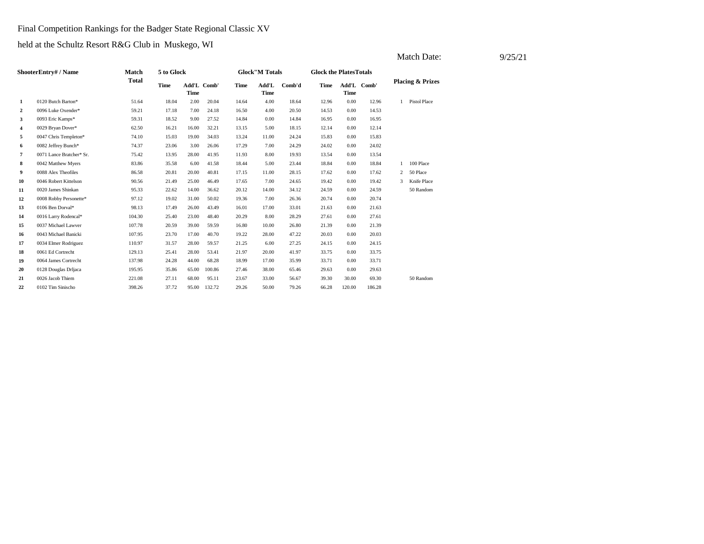### Final Competition Rankings for the Badger State Regional Classic XV

|                |                          |              |             |                            |        |             |                        |        |                               |             |             |                | Match Date:                 | 9/25/21 |
|----------------|--------------------------|--------------|-------------|----------------------------|--------|-------------|------------------------|--------|-------------------------------|-------------|-------------|----------------|-----------------------------|---------|
|                | ShooterEntry# / Name     | Match        | 5 to Glock  |                            |        |             | <b>Glock</b> "M Totals |        | <b>Glock the PlatesTotals</b> |             |             |                |                             |         |
|                |                          | <b>Total</b> | <b>Time</b> | Add'L Comb'<br><b>Time</b> |        | <b>Time</b> | Add'L<br><b>Time</b>   | Comb'd | Time                          | <b>Time</b> | Add'L Comb' |                | <b>Placing &amp; Prizes</b> |         |
| 1              | 0120 Butch Barton*       | 51.64        | 18.04       | 2.00                       | 20.04  | 14.64       | 4.00                   | 18.64  | 12.96                         | 0.00        | 12.96       | $\mathbf{1}$   | Pistol Place                |         |
| 2              | 0096 Luke Oxender*       | 59.21        | 17.18       | 7.00                       | 24.18  | 16.50       | 4.00                   | 20.50  | 14.53                         | 0.00        | 14.53       |                |                             |         |
| 3              | 0093 Eric Kamps*         | 59.31        | 18.52       | 9.00                       | 27.52  | 14.84       | 0.00                   | 14.84  | 16.95                         | 0.00        | 16.95       |                |                             |         |
| 4              | 0029 Bryan Dover*        | 62.50        | 16.21       | 16.00                      | 32.21  | 13.15       | 5.00                   | 18.15  | 12.14                         | 0.00        | 12.14       |                |                             |         |
| 5              | 0047 Chris Templeton*    | 74.10        | 15.03       | 19.00                      | 34.03  | 13.24       | 11.00                  | 24.24  | 15.83                         | 0.00        | 15.83       |                |                             |         |
| 6              | 0082 Jeffrey Bunch*      | 74.37        | 23.06       | 3.00                       | 26.06  | 17.29       | 7.00                   | 24.29  | 24.02                         | 0.00        | 24.02       |                |                             |         |
| $\overline{7}$ | 0071 Lance Bratcher* Sr. | 75.42        | 13.95       | 28.00                      | 41.95  | 11.93       | 8.00                   | 19.93  | 13.54                         | 0.00        | 13.54       |                |                             |         |
| 8              | 0042 Matthew Myers       | 83.86        | 35.58       | 6.00                       | 41.58  | 18.44       | 5.00                   | 23.44  | 18.84                         | 0.00        | 18.84       | $\mathbf{1}$   | 100 Place                   |         |
| 9              | 0088 Alex Theofiles      | 86.58        | 20.81       | 20.00                      | 40.81  | 17.15       | 11.00                  | 28.15  | 17.62                         | 0.00        | 17.62       | $\overline{2}$ | 50 Place                    |         |
| 10             | 0046 Robert Kittelson    | 90.56        | 21.49       | 25.00                      | 46.49  | 17.65       | 7.00                   | 24.65  | 19.42                         | 0.00        | 19.42       | 3              | Knife Place                 |         |
| 11             | 0020 James Shinkan       | 95.33        | 22.62       | 14.00                      | 36.62  | 20.12       | 14.00                  | 34.12  | 24.59                         | 0.00        | 24.59       |                | 50 Random                   |         |
| 12             | 0008 Robby Personette*   | 97.12        | 19.02       | 31.00                      | 50.02  | 19.36       | 7.00                   | 26.36  | 20.74                         | 0.00        | 20.74       |                |                             |         |
| 13             | 0106 Ben Dorval*         | 98.13        | 17.49       | 26.00                      | 43.49  | 16.01       | 17.00                  | 33.01  | 21.63                         | 0.00        | 21.63       |                |                             |         |
| 14             | 0016 Larry Rodencal*     | 104.30       | 25.40       | 23.00                      | 48.40  | 20.29       | 8.00                   | 28.29  | 27.61                         | 0.00        | 27.61       |                |                             |         |
| 15             | 0037 Michael Lawver      | 107.78       | 20.59       | 39.00                      | 59.59  | 16.80       | 10.00                  | 26.80  | 21.39                         | 0.00        | 21.39       |                |                             |         |
| 16             | 0043 Michael Banicki     | 107.95       | 23.70       | 17.00                      | 40.70  | 19.22       | 28.00                  | 47.22  | 20.03                         | 0.00        | 20.03       |                |                             |         |
| 17             | 0034 Elmer Rodriguez     | 110.97       | 31.57       | 28.00                      | 59.57  | 21.25       | 6.00                   | 27.25  | 24.15                         | 0.00        | 24.15       |                |                             |         |
| 18             | 0061 Ed Cortrecht        | 129.13       | 25.41       | 28.00                      | 53.41  | 21.97       | 20.00                  | 41.97  | 33.75                         | 0.00        | 33.75       |                |                             |         |
| 19             | 0064 James Cortrecht     | 137.98       | 24.28       | 44.00                      | 68.28  | 18.99       | 17.00                  | 35.99  | 33.71                         | 0.00        | 33.71       |                |                             |         |
| 20             | 0128 Douglas Drljaca     | 195.95       | 35.86       | 65.00                      | 100.86 | 27.46       | 38.00                  | 65.46  | 29.63                         | 0.00        | 29.63       |                |                             |         |
| 21             | 0026 Jacob Thiem         | 221.08       | 27.11       | 68.00                      | 95.11  | 23.67       | 33.00                  | 56.67  | 39.30                         | 30.00       | 69.30       |                | 50 Random                   |         |
| 22             | 0102 Tim Sinischo        | 398.26       | 37.72       | 95.00                      | 132.72 | 29.26       | 50.00                  | 79.26  | 66.28                         | 120.00      | 186.28      |                |                             |         |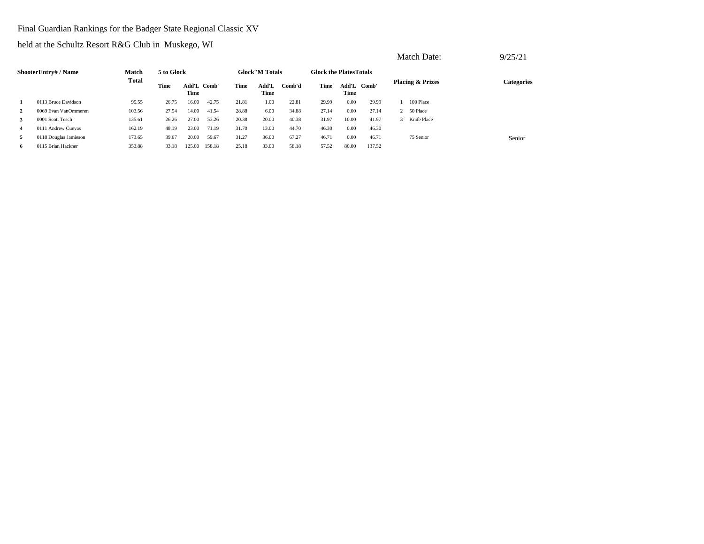# Final Guardian Rankings for the Badger State Regional Classic XV

|                |                       |              |            |                     |        |       |                        |        |                               |       |             | Match Date:                 | 9/25/21    |
|----------------|-----------------------|--------------|------------|---------------------|--------|-------|------------------------|--------|-------------------------------|-------|-------------|-----------------------------|------------|
|                | ShooterEntry# / Name  | Match        | 5 to Glock |                     |        |       | <b>Glock</b> "M Totals |        | <b>Glock the PlatesTotals</b> |       |             |                             |            |
|                | 0113 Bruce Davidson   | <b>Total</b> | Time       | Add'L Comb'<br>Time |        | Time  | Add'L<br>Time          | Comb'd | Time                          | Time  | Add'L Comb' | <b>Placing &amp; Prizes</b> | Categories |
|                |                       | 95.55        | 26.75      | 16.00               | 42.75  | 21.81 | 1.00                   | 22.81  | 29.99                         | 0.00  | 29.99       | 100 Place                   |            |
| $\overline{2}$ | 0069 Evan VanOmmeren  | 103.56       | 27.54      | 14.00               | 41.54  | 28.88 | 6.00                   | 34.88  | 27.14                         | 0.00  | 27.14       | 2 50 Place                  |            |
| 3              | 0001 Scott Tesch      | 135.61       | 26.26      | 27.00               | 53.26  | 20.38 | 20.00                  | 40.38  | 31.97                         | 10.00 | 41.97       | 3 Knife Place               |            |
| $\overline{4}$ | 0111 Andrew Cuevas    | 162.19       | 48.19      | 23.00               | 71.19  | 31.70 | 13.00                  | 44.70  | 46.30                         | 0.00  | 46.30       |                             |            |
| 5              | 0118 Douglas Jamieson | 173.65       | 39.67      | 20.00               | 59.67  | 31.27 | 36.00                  | 67.27  | 46.71                         | 0.00  | 46.71       | 75 Senior                   | Senior     |
| -6             | 0115 Brian Hackner    | 353.88       | 33.18      | 125.00              | 158.18 | 25.18 | 33.00                  | 58.18  | 57.52                         | 80.00 | 137.52      |                             |            |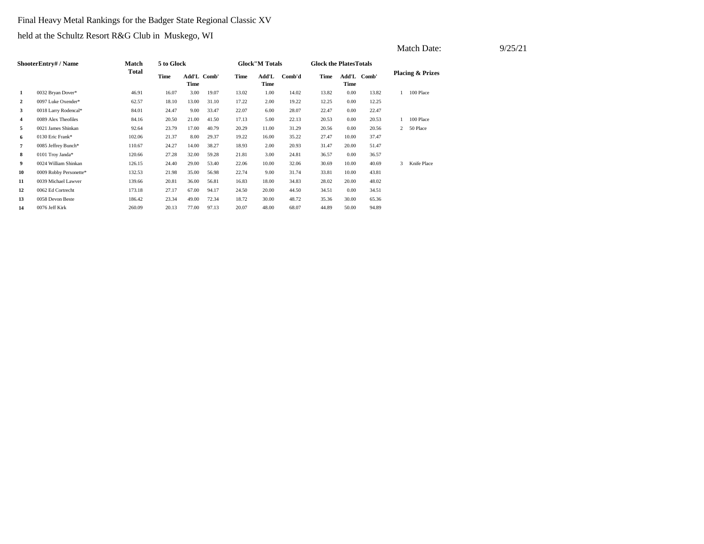# Final Heavy Metal Rankings for the Badger State Regional Classic XV

|                |                        |        |            |                            |       |       |                        |        |                               |       |             | Match Date:   |                             | 9/25/21 |  |
|----------------|------------------------|--------|------------|----------------------------|-------|-------|------------------------|--------|-------------------------------|-------|-------------|---------------|-----------------------------|---------|--|
|                | ShooterEntry# / Name   | Match  | 5 to Glock |                            |       |       | <b>Glock</b> "M Totals |        | <b>Glock the PlatesTotals</b> |       |             |               |                             |         |  |
|                |                        | Total  | Time       | Add'L Comb'<br><b>Time</b> |       | Time  | Add'L<br>Time          | Comb'd | Time                          | Time  | Add'L Comb' |               | <b>Placing &amp; Prizes</b> |         |  |
| 1              | 0032 Bryan Dover*      | 46.91  | 16.07      | 3.00                       | 19.07 | 13.02 | 1.00                   | 14.02  | 13.82                         | 0.00  | 13.82       |               | 100 Place                   |         |  |
| $\overline{2}$ | 0097 Luke Oxender*     | 62.57  | 18.10      | 13.00                      | 31.10 | 17.22 | 2.00                   | 19.22  | 12.25                         | 0.00  | 12.25       |               |                             |         |  |
| 3              | 0018 Larry Rodencal*   | 84.01  | 24.47      | 9.00                       | 33.47 | 22.07 | 6.00                   | 28.07  | 22.47                         | 0.00  | 22.47       |               |                             |         |  |
| $\overline{4}$ | 0089 Alex Theofiles    | 84.16  | 20.50      | 21.00                      | 41.50 | 17.13 | 5.00                   | 22.13  | 20.53                         | 0.00  | 20.53       |               | 100 Place                   |         |  |
| 5              | 0021 James Shinkan     | 92.64  | 23.79      | 17.00                      | 40.79 | 20.29 | 11.00                  | 31.29  | 20.56                         | 0.00  | 20.56       |               | 2 50 Place                  |         |  |
| 6              | 0130 Eric Frank*       | 102.06 | 21.37      | 8.00                       | 29.37 | 19.22 | 16.00                  | 35.22  | 27.47                         | 10.00 | 37.47       |               |                             |         |  |
| $\overline{7}$ | 0085 Jeffrey Bunch*    | 110.67 | 24.27      | 14.00                      | 38.27 | 18.93 | 2.00                   | 20.93  | 31.47                         | 20.00 | 51.47       |               |                             |         |  |
| 8              | 0101 Troy Janda*       | 120.66 | 27.28      | 32.00                      | 59.28 | 21.81 | 3.00                   | 24.81  | 36.57                         | 0.00  | 36.57       |               |                             |         |  |
| 9              | 0024 William Shinkan   | 126.15 | 24.40      | 29.00                      | 53.40 | 22.06 | 10.00                  | 32.06  | 30.69                         | 10.00 | 40.69       | $\mathcal{E}$ | Knife Place                 |         |  |
| 10             | 0009 Robby Personette* | 132.53 | 21.98      | 35.00                      | 56.98 | 22.74 | 9.00                   | 31.74  | 33.81                         | 10.00 | 43.81       |               |                             |         |  |
| 11             | 0039 Michael Lawver    | 139.66 | 20.81      | 36.00                      | 56.81 | 16.83 | 18.00                  | 34.83  | 28.02                         | 20.00 | 48.02       |               |                             |         |  |
| 12             | 0062 Ed Cortrecht      | 173.18 | 27.17      | 67.00                      | 94.17 | 24.50 | 20.00                  | 44.50  | 34.51                         | 0.00  | 34.51       |               |                             |         |  |
| 13             | 0058 Devon Beste       | 186.42 | 23.34      | 49.00                      | 72.34 | 18.72 | 30.00                  | 48.72  | 35.36                         | 30.00 | 65.36       |               |                             |         |  |
| 14             | 0076 Jeff Kirk         | 260.09 | 20.13      | 77.00                      | 97.13 | 20.07 | 48.00                  | 68.07  | 44.89                         | 50.00 | 94.89       |               |                             |         |  |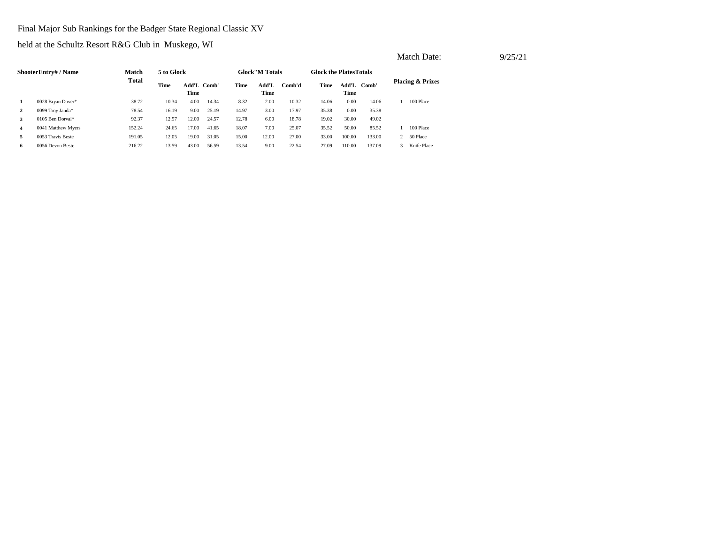# Final Major Sub Rankings for the Badger State Regional Classic XV

|   |                      |        |            |                     |       |       |                        |        |                               |               |        |   | Match Date:                 |  | 9/25/21 |
|---|----------------------|--------|------------|---------------------|-------|-------|------------------------|--------|-------------------------------|---------------|--------|---|-----------------------------|--|---------|
|   | ShooterEntry# / Name | Match  | 5 to Glock |                     |       |       | <b>Glock</b> "M Totals |        | <b>Glock the PlatesTotals</b> |               |        |   |                             |  |         |
|   |                      | Total  | Time       | Add'L Comb'<br>Time |       | Time  | Add'L<br>Time          | Comb'd | Time                          | Add'L<br>Time | Comb'  |   | <b>Placing &amp; Prizes</b> |  |         |
|   | 0028 Bryan Dover*    | 38.72  | 10.34      | 4.00                | 14.34 | 8.32  | 2.00                   | 10.32  | 14.06                         | 0.00          | 14.06  |   | 100 Place                   |  |         |
|   | 0099 Troy Janda*     | 78.54  | 16.19      | 9.00                | 25.19 | 14.97 | 3.00                   | 17.97  | 35.38                         | 0.00          | 35.38  |   |                             |  |         |
|   | 0105 Ben Dorval*     | 92.37  | 12.57      | 12.00               | 24.57 | 12.78 | 6.00                   | 18.78  | 19.02                         | 30.00         | 49.02  |   |                             |  |         |
| 4 | 0041 Matthew Myers   | 152.24 | 24.65      | 17.00               | 41.65 | 18.07 | 7.00                   | 25.07  | 35.52                         | 50.00         | 85.52  |   | 100 Place                   |  |         |
| 5 | 0053 Travis Beste    | 191.05 | 12.05      | 19.00               | 31.05 | 15.00 | 12.00                  | 27.00  | 33.00                         | 100.00        | 133.00 |   | 2 50 Place                  |  |         |
| 6 | 0056 Devon Beste     | 216.22 | 13.59      | 43.00               | 56.59 | 13.54 | 9.00                   | 22.54  | 27.09                         | 110.00        | 137.09 | 3 | Knife Place                 |  |         |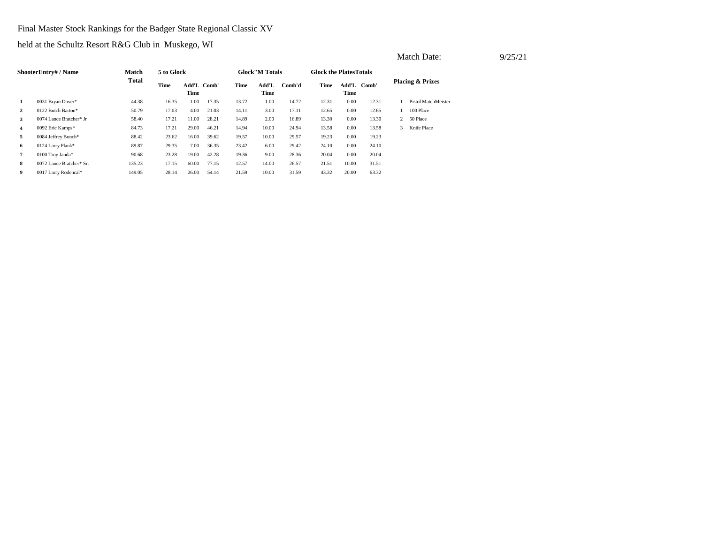# Final Master Stock Rankings for the Badger State Regional Classic XV

|                |                          |              |            |                     |       |       |                        |        |                                |               |       |   | Match Date:                 | 9/25/21 |
|----------------|--------------------------|--------------|------------|---------------------|-------|-------|------------------------|--------|--------------------------------|---------------|-------|---|-----------------------------|---------|
|                | ShooterEntry# / Name     | Match        | 5 to Glock |                     |       |       | <b>Glock</b> "M Totals |        | <b>Glock the Plates Totals</b> |               |       |   |                             |         |
|                |                          | <b>Total</b> | Time       | Add'L Comb'<br>Time |       | Time  | Add'L<br><b>Time</b>   | Comb'd | Time                           | Add'L<br>Time | Comb' |   | <b>Placing &amp; Prizes</b> |         |
| 1              | 0031 Bryan Dover*        | 44.38        | 16.35      | 1.00                | 17.35 | 13.72 | 1.00                   | 14.72  | 12.31                          | 0.00          | 12.31 |   | Pistol MatchMeister         |         |
| $\mathbf{2}$   | 0122 Butch Barton*       | 50.79        | 17.03      | 4.00                | 21.03 | 14.11 | 3.00                   | 17.11  | 12.65                          | 0.00          | 12.65 |   | 100 Place                   |         |
| $\mathbf{3}$   | 0074 Lance Bratcher* Jr  | 58.40        | 17.21      | 11.00               | 28.21 | 14.89 | 2.00                   | 16.89  | 13.30                          | 0.00          | 13.30 |   | 2 50 Place                  |         |
| $\overline{4}$ | 0092 Eric Kamps*         | 84.73        | 17.21      | 29.00               | 46.21 | 14.94 | 10.00                  | 24.94  | 13.58                          | 0.00          | 13.58 | 3 | Knife Place                 |         |
| 5              | 0084 Jeffrey Bunch*      | 88.42        | 23.62      | 16.00               | 39.62 | 19.57 | 10.00                  | 29.57  | 19.23                          | 0.00          | 19.23 |   |                             |         |
| 6              | 0124 Larry Plank*        | 89.87        | 29.35      | 7.00                | 36.35 | 23.42 | 6.00                   | 29.42  | 24.10                          | 0.00          | 24.10 |   |                             |         |
| $\overline{7}$ | 0100 Troy Janda*         | 90.68        | 23.28      | 19.00               | 42.28 | 19.36 | 9.00                   | 28.36  | 20.04                          | 0.00          | 20.04 |   |                             |         |
| 8              | 0072 Lance Bratcher* Sr. | 135.23       | 17.15      | 60.00               | 77.15 | 12.57 | 14.00                  | 26.57  | 21.51                          | 10.00         | 31.51 |   |                             |         |
| 9              | 0017 Larry Rodencal*     | 149.05       | 28.14      | 26.00               | 54.14 | 21.59 | 10.00                  | 31.59  | 43.32                          | 20.00         | 63.32 |   |                             |         |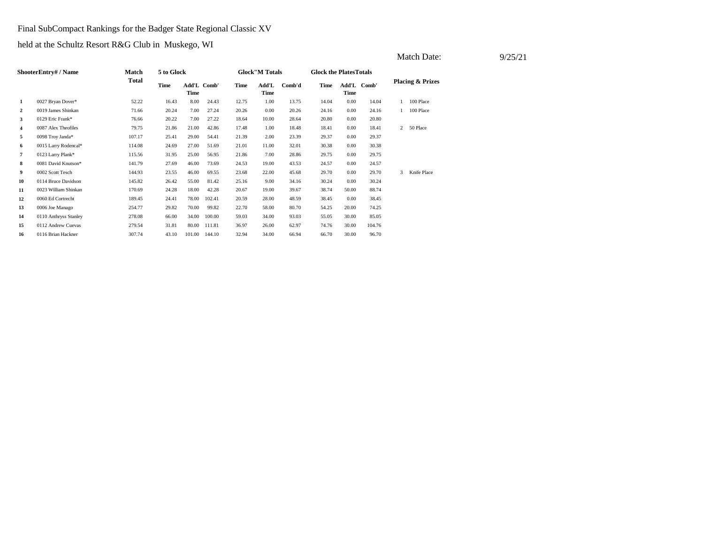### Final SubCompact Rankings for the Badger State Regional Classic XV

|                |                       |              |             |                            |        |       |                        |        |                               |       |             |                | Match Date:                 | 9/25/21 |
|----------------|-----------------------|--------------|-------------|----------------------------|--------|-------|------------------------|--------|-------------------------------|-------|-------------|----------------|-----------------------------|---------|
|                | ShooterEntry# / Name  | Match        | 5 to Glock  |                            |        |       | <b>Glock</b> "M Totals |        | <b>Glock the PlatesTotals</b> |       |             |                |                             |         |
|                |                       | <b>Total</b> | <b>Time</b> | Add'L Comb'<br><b>Time</b> |        | Time  | Add'L<br><b>Time</b>   | Comb'd | Time                          | Time  | Add'L Comb' |                | <b>Placing &amp; Prizes</b> |         |
| 1              | 0027 Bryan Dover*     | 52.22        | 16.43       | 8.00                       | 24.43  | 12.75 | 1.00                   | 13.75  | 14.04                         | 0.00  | 14.04       |                | 100 Place                   |         |
| $\mathbf{2}$   | 0019 James Shinkan    | 71.66        | 20.24       | 7.00                       | 27.24  | 20.26 | 0.00                   | 20.26  | 24.16                         | 0.00  | 24.16       |                | 100 Place                   |         |
| 3              | 0129 Eric Frank*      | 76.66        | 20.22       | 7.00                       | 27.22  | 18.64 | 10.00                  | 28.64  | 20.80                         | 0.00  | 20.80       |                |                             |         |
| $\overline{4}$ | 0087 Alex Theofiles   | 79.75        | 21.86       | 21.00                      | 42.86  | 17.48 | 1.00                   | 18.48  | 18.41                         | 0.00  | 18.41       | $\overline{2}$ | 50 Place                    |         |
| 5              | 0098 Troy Janda*      | 107.17       | 25.41       | 29.00                      | 54.41  | 21.39 | 2.00                   | 23.39  | 29.37                         | 0.00  | 29.37       |                |                             |         |
| 6              | 0015 Larry Rodencal*  | 114.08       | 24.69       | 27.00                      | 51.69  | 21.01 | 11.00                  | 32.01  | 30.38                         | 0.00  | 30.38       |                |                             |         |
| $\overline{7}$ | 0123 Larry Plank*     | 115.56       | 31.95       | 25.00                      | 56.95  | 21.86 | 7.00                   | 28.86  | 29.75                         | 0.00  | 29.75       |                |                             |         |
| 8              | 0081 David Knutson*   | 141.79       | 27.69       | 46.00                      | 73.69  | 24.53 | 19.00                  | 43.53  | 24.57                         | 0.00  | 24.57       |                |                             |         |
| 9              | 0002 Scott Tesch      | 144.93       | 23.55       | 46.00                      | 69.55  | 23.68 | 22.00                  | 45.68  | 29.70                         | 0.00  | 29.70       | 3              | Knife Place                 |         |
| 10             | 0114 Bruce Davidson   | 145.82       | 26.42       | 55.00                      | 81.42  | 25.16 | 9.00                   | 34.16  | 30.24                         | 0.00  | 30.24       |                |                             |         |
| 11             | 0023 William Shinkan  | 170.69       | 24.28       | 18.00                      | 42.28  | 20.67 | 19.00                  | 39.67  | 38.74                         | 50.00 | 88.74       |                |                             |         |
| 12             | 0060 Ed Cortrecht     | 189.45       | 24.41       | 78.00                      | 102.41 | 20.59 | 28.00                  | 48.59  | 38.45                         | 0.00  | 38.45       |                |                             |         |
| 13             | 0006 Joe Manago       | 254.77       | 29.82       | 70.00                      | 99.82  | 22.70 | 58.00                  | 80.70  | 54.25                         | 20.00 | 74.25       |                |                             |         |
| 14             | 0110 Anthryss Stanley | 278.08       | 66.00       | 34.00                      | 100.00 | 59.03 | 34.00                  | 93.03  | 55.05                         | 30.00 | 85.05       |                |                             |         |
| 15             | 0112 Andrew Cuevas    | 279.54       | 31.81       | 80.00                      | 111.81 | 36.97 | 26.00                  | 62.97  | 74.76                         | 30.00 | 104.76      |                |                             |         |
| 16             | 0116 Brian Hackner    | 307.74       | 43.10       | 101.00                     | 144.10 | 32.94 | 34.00                  | 66.94  | 66.70                         | 30.00 | 96.70       |                |                             |         |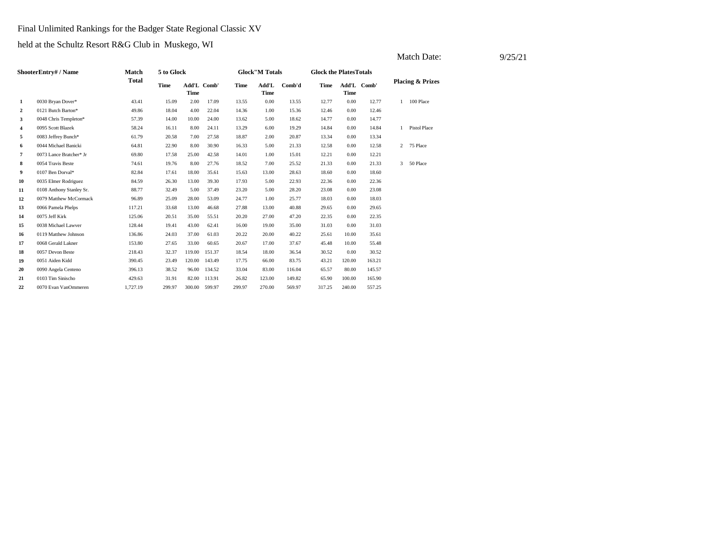# Final Unlimited Rankings for the Badger State Regional Classic XV

|                |                          |              |             |                            |        |             |                       |        |                               |        |             |              | Match Date:                 |  | 9/25/21 |
|----------------|--------------------------|--------------|-------------|----------------------------|--------|-------------|-----------------------|--------|-------------------------------|--------|-------------|--------------|-----------------------------|--|---------|
|                | ShooterEntry#/Name       | <b>Match</b> | 5 to Glock  |                            |        |             | <b>Glock"M Totals</b> |        | <b>Glock the PlatesTotals</b> |        |             |              |                             |  |         |
|                |                          | <b>Total</b> | <b>Time</b> | Add'L Comb'<br><b>Time</b> |        | <b>Time</b> | Add'L<br><b>Time</b>  | Comb'd | Time                          | Time   | Add'L Comb' |              | <b>Placing &amp; Prizes</b> |  |         |
| 1              | 0030 Bryan Dover*        | 43.41        | 15.09       | 2.00                       | 17.09  | 13.55       | 0.00                  | 13.55  | 12.77                         | 0.00   | 12.77       | $\mathbf{1}$ | 100 Place                   |  |         |
| $\overline{2}$ | 0121 Butch Barton*       | 49.86        | 18.04       | 4.00                       | 22.04  | 14.36       | 1.00                  | 15.36  | 12.46                         | 0.00   | 12.46       |              |                             |  |         |
| 3              | 0048 Chris Templeton*    | 57.39        | 14.00       | 10.00                      | 24.00  | 13.62       | 5.00                  | 18.62  | 14.77                         | 0.00   | 14.77       |              |                             |  |         |
| $\overline{4}$ | 0095 Scott Blazek        | 58.24        | 16.11       | 8.00                       | 24.11  | 13.29       | 6.00                  | 19.29  | 14.84                         | 0.00   | 14.84       | $\mathbf{1}$ | <b>Pistol Place</b>         |  |         |
| 5              | 0083 Jeffrey Bunch*      | 61.79        | 20.58       | 7.00                       | 27.58  | 18.87       | 2.00                  | 20.87  | 13.34                         | 0.00   | 13.34       |              |                             |  |         |
| 6              | 0044 Michael Banicki     | 64.81        | 22.90       | 8.00                       | 30.90  | 16.33       | 5.00                  | 21.33  | 12.58                         | 0.00   | 12.58       |              | 2 75 Place                  |  |         |
| $\overline{7}$ | 0073 Lance Bratcher* Jr  | 69.80        | 17.58       | 25.00                      | 42.58  | 14.01       | 1.00                  | 15.01  | 12.21                         | 0.00   | 12.21       |              |                             |  |         |
| 8              | 0054 Travis Beste        | 74.61        | 19.76       | 8.00                       | 27.76  | 18.52       | 7.00                  | 25.52  | 21.33                         | 0.00   | 21.33       | 3            | 50 Place                    |  |         |
| 9              | 0107 Ben Dorval*         | 82.84        | 17.61       | 18.00                      | 35.61  | 15.63       | 13.00                 | 28.63  | 18.60                         | 0.00   | 18.60       |              |                             |  |         |
| 10             | 0035 Elmer Rodriguez     | 84.59        | 26.30       | 13.00                      | 39.30  | 17.93       | 5.00                  | 22.93  | 22.36                         | 0.00   | 22.36       |              |                             |  |         |
| 11             | 0108 Anthony Stanley Sr. | 88.77        | 32.49       | 5.00                       | 37.49  | 23.20       | 5.00                  | 28.20  | 23.08                         | 0.00   | 23.08       |              |                             |  |         |
| 12             | 0079 Matthew McCormack   | 96.89        | 25.09       | 28.00                      | 53.09  | 24.77       | 1.00                  | 25.77  | 18.03                         | 0.00   | 18.03       |              |                             |  |         |
| 13             | 0066 Pamela Phelps       | 117.21       | 33.68       | 13.00                      | 46.68  | 27.88       | 13.00                 | 40.88  | 29.65                         | 0.00   | 29.65       |              |                             |  |         |
| 14             | 0075 Jeff Kirk           | 125.06       | 20.51       | 35.00                      | 55.51  | 20.20       | 27.00                 | 47.20  | 22.35                         | 0.00   | 22.35       |              |                             |  |         |
| 15             | 0038 Michael Lawver      | 128.44       | 19.41       | 43.00                      | 62.41  | 16.00       | 19.00                 | 35.00  | 31.03                         | 0.00   | 31.03       |              |                             |  |         |
| 16             | 0119 Matthew Johnson     | 136.86       | 24.03       | 37.00                      | 61.03  | 20.22       | 20.00                 | 40.22  | 25.61                         | 10.00  | 35.61       |              |                             |  |         |
| 17             | 0068 Gerald Lakner       | 153.80       | 27.65       | 33.00                      | 60.65  | 20.67       | 17.00                 | 37.67  | 45.48                         | 10.00  | 55.48       |              |                             |  |         |
| 18             | 0057 Devon Beste         | 218.43       | 32.37       | 119.00                     | 151.37 | 18.54       | 18.00                 | 36.54  | 30.52                         | 0.00   | 30.52       |              |                             |  |         |
| 19             | 0051 Aiden Kidd          | 390.45       | 23.49       | 120.00                     | 143.49 | 17.75       | 66.00                 | 83.75  | 43.21                         | 120.00 | 163.21      |              |                             |  |         |
| 20             | 0090 Angela Centeno      | 396.13       | 38.52       | 96.00                      | 134.52 | 33.04       | 83.00                 | 116.04 | 65.57                         | 80.00  | 145.57      |              |                             |  |         |
| 21             | 0103 Tim Sinischo        | 429.63       | 31.91       | 82.00                      | 113.91 | 26.82       | 123.00                | 149.82 | 65.90                         | 100.00 | 165.90      |              |                             |  |         |
| 22             | 0070 Evan VanOmmeren     | 1,727.19     | 299.97      | 300.00                     | 599.97 | 299.97      | 270.00                | 569.97 | 317.25                        | 240.00 | 557.25      |              |                             |  |         |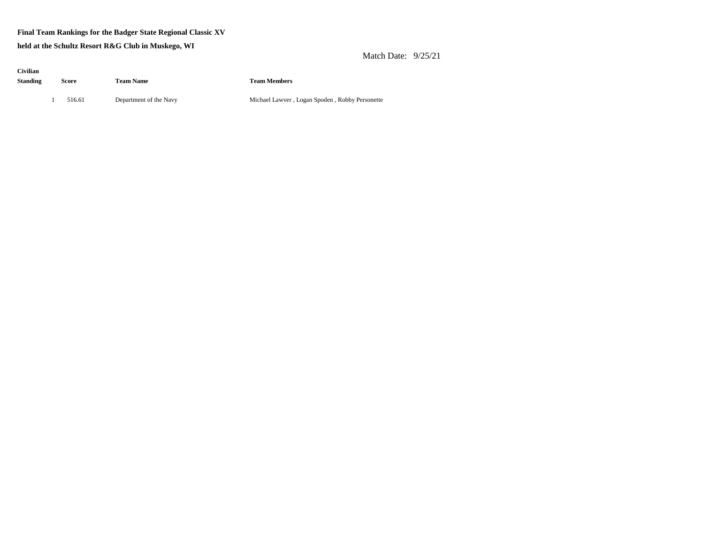### **Final Team Rankings for the Badger State Regional Classic XV**

**held at the Schultz Resort R&G Club in Muskego, WI**

Match Date: 9/25/21

| Civilian        |       |        |                        |
|-----------------|-------|--------|------------------------|
| <b>Standing</b> | Score |        | <b>Team Name</b>       |
|                 |       |        |                        |
|                 | ı.    | 516.61 | Department of the Navy |

**Standing Score Team Name Team Members**

Michael Lawver , Logan Spoden , Robby Personette